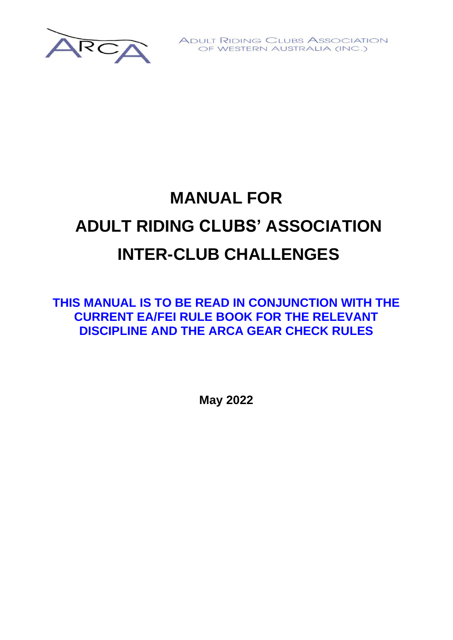

**ADULT RIDING CLUBS ASSOCIATION** OF WESTERN AUSTRALIA (INC.)

# **MANUAL FOR ADULT RIDING CLUBS' ASSOCIATION INTER-CLUB CHALLENGES**

**THIS MANUAL IS TO BE READ IN CONJUNCTION WITH THE CURRENT EA/FEI RULE BOOK FOR THE RELEVANT DISCIPLINE AND THE ARCA GEAR CHECK RULES**

**May 2022**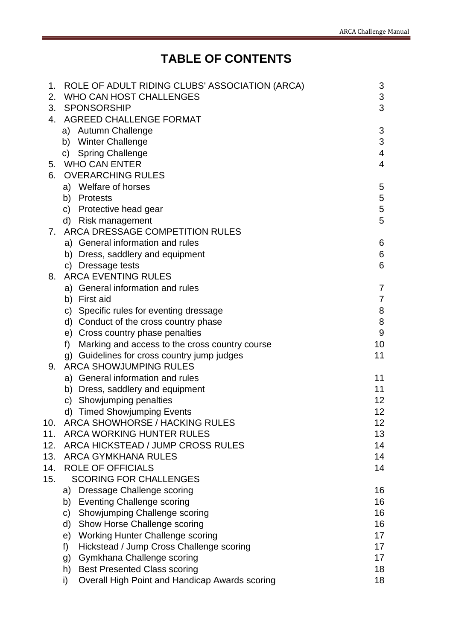# **TABLE OF CONTENTS**

| 1.  | ROLE OF ADULT RIDING CLUBS' ASSOCIATION (ARCA)       | 3              |  |
|-----|------------------------------------------------------|----------------|--|
| 2.  | <b>WHO CAN HOST CHALLENGES</b>                       |                |  |
| 3.  | <b>SPONSORSHIP</b>                                   | 3              |  |
| 4.  | AGREED CHALLENGE FORMAT                              |                |  |
|     | a) Autumn Challenge                                  | 3              |  |
|     | b) Winter Challenge                                  | 3              |  |
|     | <b>Spring Challenge</b><br>C)                        | 4              |  |
| 5.  | <b>WHO CAN ENTER</b>                                 | $\overline{4}$ |  |
| 6.  | <b>OVERARCHING RULES</b>                             |                |  |
|     | a) Welfare of horses                                 | 5              |  |
|     | <b>Protests</b><br>b)                                | 5              |  |
|     | c) Protective head gear                              | 5              |  |
|     | d) Risk management                                   | 5              |  |
| 7.  | ARCA DRESSAGE COMPETITION RULES                      |                |  |
|     | a) General information and rules                     | 6              |  |
|     | b) Dress, saddlery and equipment                     | 6              |  |
|     | c) Dressage tests                                    | 6              |  |
| 8.  | <b>ARCA EVENTING RULES</b>                           |                |  |
|     | a) General information and rules                     | 7              |  |
|     | b) First aid                                         | 7              |  |
|     | c) Specific rules for eventing dressage              | 8              |  |
|     | d) Conduct of the cross country phase                | 8              |  |
|     | e) Cross country phase penalties                     | 9              |  |
|     | f)<br>Marking and access to the cross country course | 10             |  |
|     | g) Guidelines for cross country jump judges          | 11             |  |
| 9.  | <b>ARCA SHOWJUMPING RULES</b>                        |                |  |
|     | a) General information and rules                     | 11             |  |
|     | b) Dress, saddlery and equipment                     | 11             |  |
|     | c) Showjumping penalties                             | 12             |  |
|     | d) Timed Showjumping Events                          | 12             |  |
| 10. | <b>ARCA SHOWHORSE / HACKING RULES</b>                | 12             |  |
| 11. | <b>ARCA WORKING HUNTER RULES</b>                     | 13             |  |
| 12. | ARCA HICKSTEAD / JUMP CROSS RULES                    | 14             |  |
| 13. | <b>ARCA GYMKHANA RULES</b>                           | 14             |  |
| 14. | <b>ROLE OF OFFICIALS</b>                             | 14             |  |
| 15. | <b>SCORING FOR CHALLENGES</b>                        |                |  |
|     | Dressage Challenge scoring<br>a)                     | 16             |  |
|     | b) Eventing Challenge scoring                        | 16             |  |
|     | Showjumping Challenge scoring<br>C)                  | 16             |  |
|     | Show Horse Challenge scoring<br>d)                   | 16             |  |
|     | <b>Working Hunter Challenge scoring</b><br>e)        | 17             |  |
|     | Hickstead / Jump Cross Challenge scoring<br>f)       | 17             |  |
|     | Gymkhana Challenge scoring<br>g)                     | 17             |  |
|     | <b>Best Presented Class scoring</b><br>h)            | 18             |  |
|     | Overall High Point and Handicap Awards scoring<br>i) | 18             |  |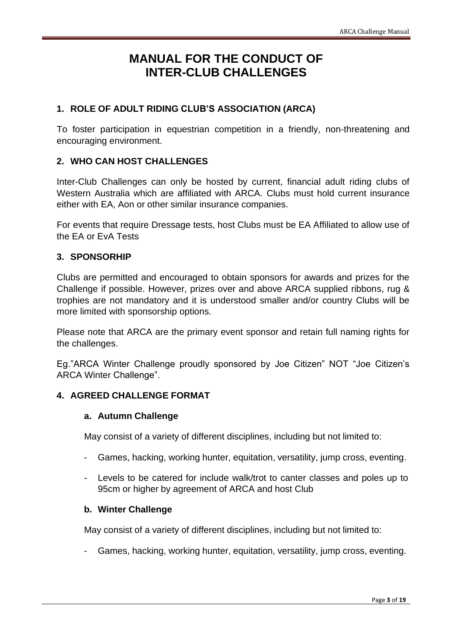## **MANUAL FOR THE CONDUCT OF INTER-CLUB CHALLENGES**

## <span id="page-2-0"></span>**1. ROLE OF ADULT RIDING CLUB'S ASSOCIATION (ARCA)**

To foster participation in equestrian competition in a friendly, non-threatening and encouraging environment.

## <span id="page-2-1"></span>**2. WHO CAN HOST CHALLENGES**

Inter-Club Challenges can only be hosted by current, financial adult riding clubs of Western Australia which are affiliated with ARCA. Clubs must hold current insurance either with EA, Aon or other similar insurance companies.

For events that require Dressage tests, host Clubs must be EA Affiliated to allow use of the EA or EvA Tests

#### **3. SPONSORHIP**

Clubs are permitted and encouraged to obtain sponsors for awards and prizes for the Challenge if possible. However, prizes over and above ARCA supplied ribbons, rug & trophies are not mandatory and it is understood smaller and/or country Clubs will be more limited with sponsorship options.

Please note that ARCA are the primary event sponsor and retain full naming rights for the challenges.

Eg."ARCA Winter Challenge proudly sponsored by Joe Citizen" NOT "Joe Citizen's ARCA Winter Challenge".

## <span id="page-2-3"></span><span id="page-2-2"></span>**4. AGREED CHALLENGE FORMAT**

#### **a. Autumn Challenge**

May consist of a variety of different disciplines, including but not limited to:

- Games, hacking, working hunter, equitation, versatility, jump cross, eventing.
- Levels to be catered for include walk/trot to canter classes and poles up to 95cm or higher by agreement of ARCA and host Club

#### <span id="page-2-4"></span>**b. Winter Challenge**

May consist of a variety of different disciplines, including but not limited to:

Games, hacking, working hunter, equitation, versatility, jump cross, eventing.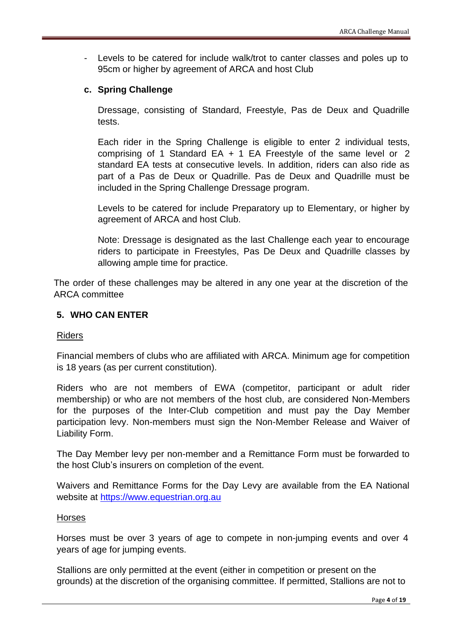Levels to be catered for include walk/trot to canter classes and poles up to 95cm or higher by agreement of ARCA and host Club

## <span id="page-3-0"></span>**c. Spring Challenge**

Dressage, consisting of Standard, Freestyle, Pas de Deux and Quadrille tests.

Each rider in the Spring Challenge is eligible to enter 2 individual tests, comprising of 1 Standard EA + 1 EA Freestyle of the same level or 2 standard EA tests at consecutive levels. In addition, riders can also ride as part of a Pas de Deux or Quadrille. Pas de Deux and Quadrille must be included in the Spring Challenge Dressage program.

Levels to be catered for include Preparatory up to Elementary, or higher by agreement of ARCA and host Club.

Note: Dressage is designated as the last Challenge each year to encourage riders to participate in Freestyles, Pas De Deux and Quadrille classes by allowing ample time for practice.

The order of these challenges may be altered in any one year at the discretion of the ARCA committee

## <span id="page-3-1"></span>**5. WHO CAN ENTER**

#### Riders

Financial members of clubs who are affiliated with ARCA. Minimum age for competition is 18 years (as per current constitution).

Riders who are not members of EWA (competitor, participant or adult rider membership) or who are not members of the host club, are considered Non-Members for the purposes of the Inter-Club competition and must pay the Day Member participation levy. Non-members must sign the Non-Member Release and Waiver of Liability Form.

The Day Member levy per non-member and a Remittance Form must be forwarded to the host Club's insurers on completion of the event.

Waivers and Remittance Forms for the Day Levy are available from the EA National website at [https://www.equestrian.org.au](https://www.equestrian.org.au/)

#### Horses

Horses must be over 3 years of age to compete in non-jumping events and over 4 years of age for jumping events.

Stallions are only permitted at the event (either in competition or present on the grounds) at the discretion of the organising committee. If permitted, Stallions are not to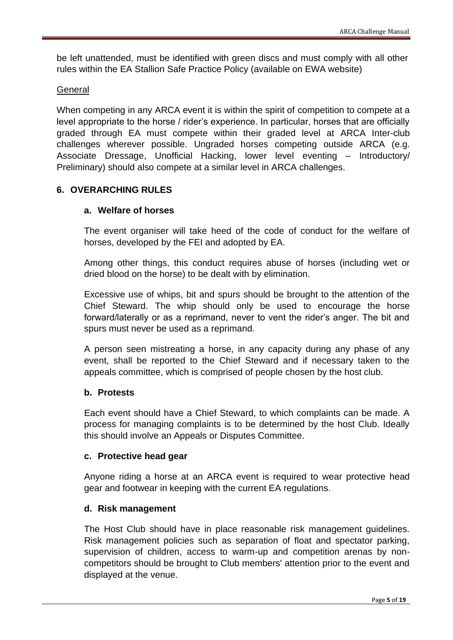be left unattended, must be identified with green discs and must comply with all other rules within the EA Stallion Safe Practice Policy (available on EWA website)

## General

When competing in any ARCA event it is within the spirit of competition to compete at a level appropriate to the horse / rider's experience. In particular, horses that are officially graded through EA must compete within their graded level at ARCA Inter-club challenges wherever possible. Ungraded horses competing outside ARCA (e.g. Associate Dressage, Unofficial Hacking, lower level eventing – Introductory/ Preliminary) should also compete at a similar level in ARCA challenges.

## <span id="page-4-1"></span><span id="page-4-0"></span>**6. OVERARCHING RULES**

## **a. Welfare of horses**

The event organiser will take heed of the code of conduct for the welfare of horses, developed by the FEI and adopted by EA.

Among other things, this conduct requires abuse of horses (including wet or dried blood on the horse) to be dealt with by elimination.

Excessive use of whips, bit and spurs should be brought to the attention of the Chief Steward. The whip should only be used to encourage the horse forward/laterally or as a reprimand, never to vent the rider's anger. The bit and spurs must never be used as a reprimand.

A person seen mistreating a horse, in any capacity during any phase of any event, shall be reported to the Chief Steward and if necessary taken to the appeals committee, which is comprised of people chosen by the host club.

## <span id="page-4-2"></span>**b. Protests**

Each event should have a Chief Steward, to which complaints can be made. A process for managing complaints is to be determined by the host Club. Ideally this should involve an Appeals or Disputes Committee.

## <span id="page-4-3"></span>**c. Protective head gear**

Anyone riding a horse at an ARCA event is required to wear protective head gear and footwear in keeping with the current EA regulations.

## <span id="page-4-4"></span>**d. Risk management**

The Host Club should have in place reasonable risk management guidelines. Risk management policies such as separation of float and spectator parking, supervision of children, access to warm-up and competition arenas by noncompetitors should be brought to Club members' attention prior to the event and displayed at the venue.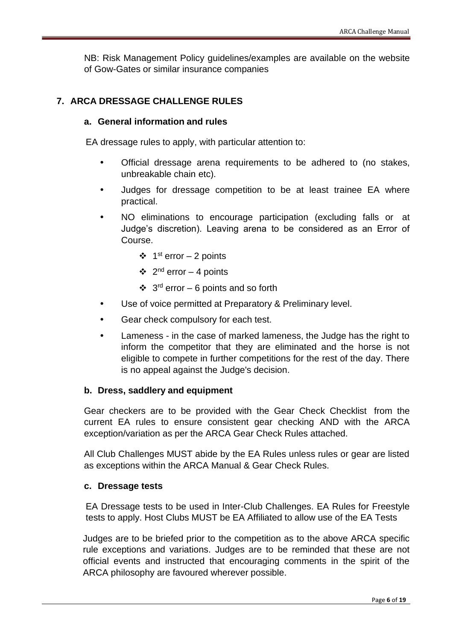NB: Risk Management Policy guidelines/examples are available on the website of Gow-Gates or similar insurance companies

## <span id="page-5-0"></span>**7. ARCA DRESSAGE CHALLENGE RULES**

#### **a. General information and rules**

EA dressage rules to apply, with particular attention to:

- Official dressage arena requirements to be adhered to (no stakes, unbreakable chain etc).
- Judges for dressage competition to be at least trainee EA where practical.
- NO eliminations to encourage participation (excluding falls or at Judge's discretion). Leaving arena to be considered as an Error of Course.
	- $\div$  1<sup>st</sup> error 2 points
	- $\div$  2<sup>nd</sup> error 4 points
	- ❖  $3<sup>rd</sup>$  error 6 points and so forth
- Use of voice permitted at Preparatory & Preliminary level.
- Gear check compulsory for each test.
- Lameness in the case of marked lameness, the Judge has the right to inform the competitor that they are eliminated and the horse is not eligible to compete in further competitions for the rest of the day. There is no appeal against the Judge's decision.

#### <span id="page-5-1"></span>**b. Dress, saddlery and equipment**

Gear checkers are to be provided with the Gear Check Checklist from the current EA rules to ensure consistent gear checking AND with the ARCA exception/variation as per the ARCA Gear Check Rules attached.

All Club Challenges MUST abide by the EA Rules unless rules or gear are listed as exceptions within the ARCA Manual & Gear Check Rules.

#### <span id="page-5-2"></span>**c. Dressage tests**

EA Dressage tests to be used in Inter-Club Challenges. EA Rules for Freestyle tests to apply. Host Clubs MUST be EA Affiliated to allow use of the EA Tests

Judges are to be briefed prior to the competition as to the above ARCA specific rule exceptions and variations. Judges are to be reminded that these are not official events and instructed that encouraging comments in the spirit of the ARCA philosophy are favoured wherever possible.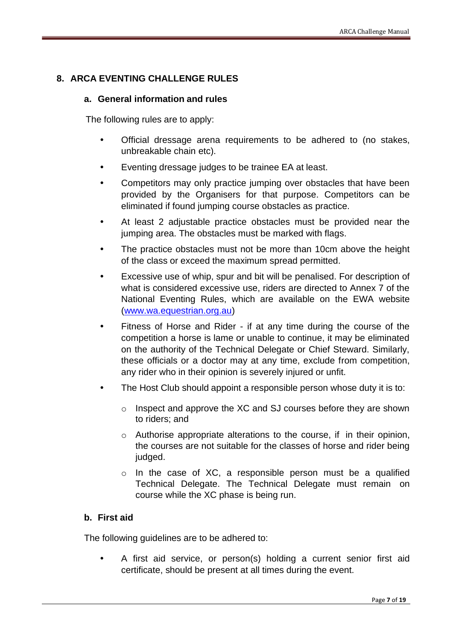## <span id="page-6-0"></span>**8. ARCA EVENTING CHALLENGE RULES**

## **a. General information and rules**

The following rules are to apply:

- Official dressage arena requirements to be adhered to (no stakes, unbreakable chain etc).
- Eventing dressage judges to be trainee EA at least.
- Competitors may only practice jumping over obstacles that have been provided by the Organisers for that purpose. Competitors can be eliminated if found jumping course obstacles as practice.
- At least 2 adjustable practice obstacles must be provided near the jumping area. The obstacles must be marked with flags.
- The practice obstacles must not be more than 10cm above the height of the class or exceed the maximum spread permitted.
- Excessive use of whip, spur and bit will be penalised. For description of what is considered excessive use, riders are directed to Annex 7 of the National Eventing Rules, which are available on the EWA website [\(www.wa.equestrian.org.au\)](http://www.wa.equestrian.org.au/)
- Fitness of Horse and Rider if at any time during the course of the competition a horse is lame or unable to continue, it may be eliminated on the authority of the Technical Delegate or Chief Steward. Similarly, these officials or a doctor may at any time, exclude from competition, any rider who in their opinion is severely injured or unfit.
- The Host Club should appoint a responsible person whose duty it is to:
	- o Inspect and approve the XC and SJ courses before they are shown to riders; and
	- $\circ$  Authorise appropriate alterations to the course, if in their opinion, the courses are not suitable for the classes of horse and rider being judged.
	- o In the case of XC, a responsible person must be a qualified Technical Delegate. The Technical Delegate must remain on course while the XC phase is being run.

## <span id="page-6-1"></span>**b. First aid**

The following guidelines are to be adhered to:

 A first aid service, or person(s) holding a current senior first aid certificate, should be present at all times during the event.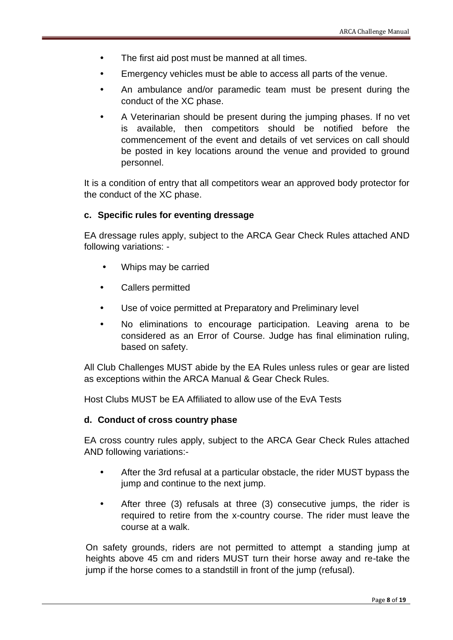- The first aid post must be manned at all times.
- Emergency vehicles must be able to access all parts of the venue.
- An ambulance and/or paramedic team must be present during the conduct of the XC phase.
- A Veterinarian should be present during the jumping phases. If no vet is available, then competitors should be notified before the commencement of the event and details of vet services on call should be posted in key locations around the venue and provided to ground personnel.

It is a condition of entry that all competitors wear an approved body protector for the conduct of the XC phase.

#### <span id="page-7-0"></span>**c. Specific rules for eventing dressage**

EA dressage rules apply, subject to the ARCA Gear Check Rules attached AND following variations: -

- Whips may be carried
- Callers permitted
- Use of voice permitted at Preparatory and Preliminary level
- No eliminations to encourage participation. Leaving arena to be considered as an Error of Course. Judge has final elimination ruling, based on safety.

All Club Challenges MUST abide by the EA Rules unless rules or gear are listed as exceptions within the ARCA Manual & Gear Check Rules.

Host Clubs MUST be EA Affiliated to allow use of the EvA Tests

#### **d. Conduct of cross country phase**

EA cross country rules apply, subject to the ARCA Gear Check Rules attached AND following variations:-

- After the 3rd refusal at a particular obstacle, the rider MUST bypass the jump and continue to the next jump.
- After three (3) refusals at three (3) consecutive jumps, the rider is required to retire from the x-country course. The rider must leave the course at a walk.

On safety grounds, riders are not permitted to attempt a standing jump at heights above 45 cm and riders MUST turn their horse away and re-take the jump if the horse comes to a standstill in front of the jump (refusal).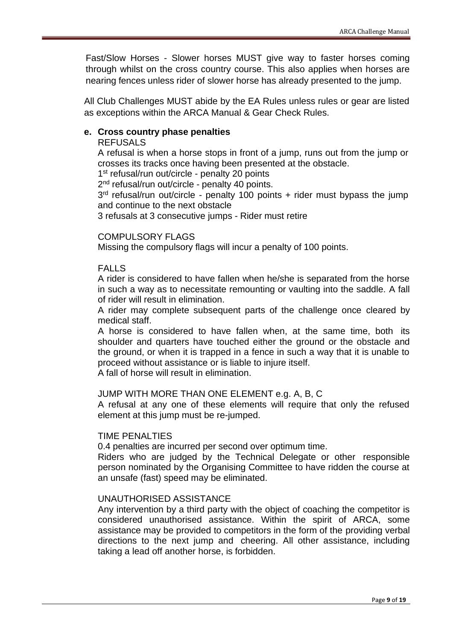Fast/Slow Horses - Slower horses MUST give way to faster horses coming through whilst on the cross country course. This also applies when horses are nearing fences unless rider of slower horse has already presented to the jump.

All Club Challenges MUST abide by the EA Rules unless rules or gear are listed as exceptions within the ARCA Manual & Gear Check Rules.

## <span id="page-8-0"></span>**e. Cross country phase penalties**

#### REFUSALS

A refusal is when a horse stops in front of a jump, runs out from the jump or crosses its tracks once having been presented at the obstacle.

1<sup>st</sup> refusal/run out/circle - penalty 20 points

2<sup>nd</sup> refusal/run out/circle - penalty 40 points.

3 rd refusal/run out/circle - penalty 100 points + rider must bypass the jump and continue to the next obstacle

3 refusals at 3 consecutive jumps - Rider must retire

#### COMPULSORY FLAGS

Missing the compulsory flags will incur a penalty of 100 points.

#### FALLS

A rider is considered to have fallen when he/she is separated from the horse in such a way as to necessitate remounting or vaulting into the saddle. A fall of rider will result in elimination.

A rider may complete subsequent parts of the challenge once cleared by medical staff.

A horse is considered to have fallen when, at the same time, both its shoulder and quarters have touched either the ground or the obstacle and the ground, or when it is trapped in a fence in such a way that it is unable to proceed without assistance or is liable to injure itself.

A fall of horse will result in elimination.

#### JUMP WITH MORE THAN ONE ELEMENT e.g. A, B, C

A refusal at any one of these elements will require that only the refused element at this jump must be re-jumped.

#### TIME PENALTIES

0.4 penalties are incurred per second over optimum time.

Riders who are judged by the Technical Delegate or other responsible person nominated by the Organising Committee to have ridden the course at an unsafe (fast) speed may be eliminated.

#### UNAUTHORISED ASSISTANCE

Any intervention by a third party with the object of coaching the competitor is considered unauthorised assistance. Within the spirit of ARCA, some assistance may be provided to competitors in the form of the providing verbal directions to the next jump and cheering. All other assistance, including taking a lead off another horse, is forbidden.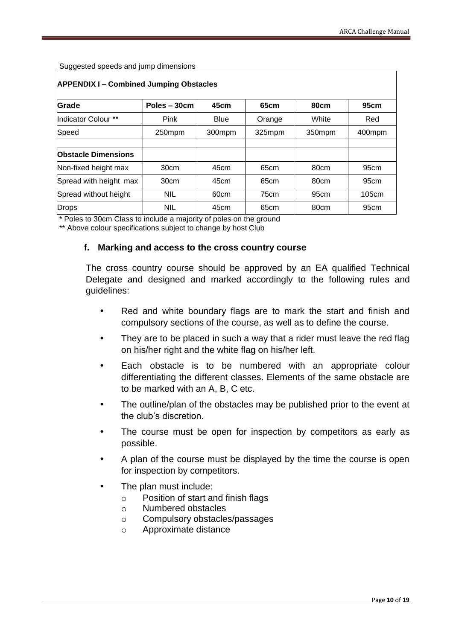Suggested speeds and jump dimensions

| <b>APPENDIX I-Combined Jumping Obstacles</b> |               |             |        |                  |                  |  |  |  |
|----------------------------------------------|---------------|-------------|--------|------------------|------------------|--|--|--|
| Grade                                        | Poles $-30cm$ | 45cm        | 65cm   | 80cm             | 95cm             |  |  |  |
| Indicator Colour **                          | Pink          | <b>Blue</b> | Orange | White            | Red              |  |  |  |
| Speed                                        | 250mpm        | 300mpm      | 325mpm | 350mpm           | 400mpm           |  |  |  |
|                                              |               |             |        |                  |                  |  |  |  |
| <b>Obstacle Dimensions</b>                   |               |             |        |                  |                  |  |  |  |
| Non-fixed height max                         | 30cm          | 45cm        | 65cm   | 80cm             | 95 <sub>cm</sub> |  |  |  |
| Spread with height max                       | 30cm          | 45cm        | 65cm   | 80cm             | 95 <sub>cm</sub> |  |  |  |
| Spread without height                        | <b>NIL</b>    | 60cm        | 75cm   | 95 <sub>cm</sub> | 105cm            |  |  |  |
| <b>Drops</b>                                 | <b>NIL</b>    | 45cm        | 65cm   | 80cm             | 95 <sub>cm</sub> |  |  |  |

\* Poles to 30cm Class to include a majority of poles on the ground

<span id="page-9-0"></span>\*\* Above colour specifications subject to change by host Club

#### **f. Marking and access to the cross country course**

The cross country course should be approved by an EA qualified Technical Delegate and designed and marked accordingly to the following rules and guidelines:

- Red and white boundary flags are to mark the start and finish and compulsory sections of the course, as well as to define the course.
- They are to be placed in such a way that a rider must leave the red flag on his/her right and the white flag on his/her left.
- Each obstacle is to be numbered with an appropriate colour differentiating the different classes. Elements of the same obstacle are to be marked with an A, B, C etc.
- The outline/plan of the obstacles may be published prior to the event at the club's discretion.
- The course must be open for inspection by competitors as early as possible.
- A plan of the course must be displayed by the time the course is open for inspection by competitors.
- The plan must include:
	- o Position of start and finish flags
	- o Numbered obstacles
	- o Compulsory obstacles/passages
	- o Approximate distance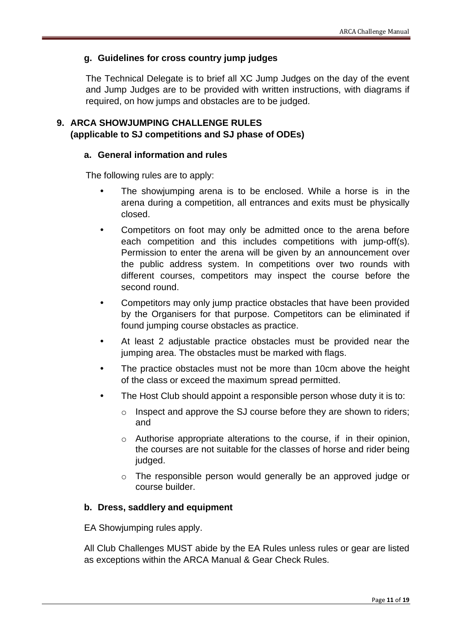## <span id="page-10-0"></span>**g. Guidelines for cross country jump judges**

The Technical Delegate is to brief all XC Jump Judges on the day of the event and Jump Judges are to be provided with written instructions, with diagrams if required, on how jumps and obstacles are to be judged.

## <span id="page-10-1"></span>**9. ARCA SHOWJUMPING CHALLENGE RULES (applicable to SJ competitions and SJ phase of ODEs)**

## **a. General information and rules**

The following rules are to apply:

- The showjumping arena is to be enclosed. While a horse is in the arena during a competition, all entrances and exits must be physically closed.
- Competitors on foot may only be admitted once to the arena before each competition and this includes competitions with jump-off(s). Permission to enter the arena will be given by an announcement over the public address system. In competitions over two rounds with different courses, competitors may inspect the course before the second round.
- Competitors may only jump practice obstacles that have been provided by the Organisers for that purpose. Competitors can be eliminated if found jumping course obstacles as practice.
- At least 2 adjustable practice obstacles must be provided near the jumping area. The obstacles must be marked with flags.
- The practice obstacles must not be more than 10cm above the height of the class or exceed the maximum spread permitted.
- The Host Club should appoint a responsible person whose duty it is to:
	- o Inspect and approve the SJ course before they are shown to riders; and
	- o Authorise appropriate alterations to the course, if in their opinion, the courses are not suitable for the classes of horse and rider being judged.
	- o The responsible person would generally be an approved judge or course builder.

#### <span id="page-10-2"></span>**b. Dress, saddlery and equipment**

EA Showjumping rules apply.

All Club Challenges MUST abide by the EA Rules unless rules or gear are listed as exceptions within the ARCA Manual & Gear Check Rules.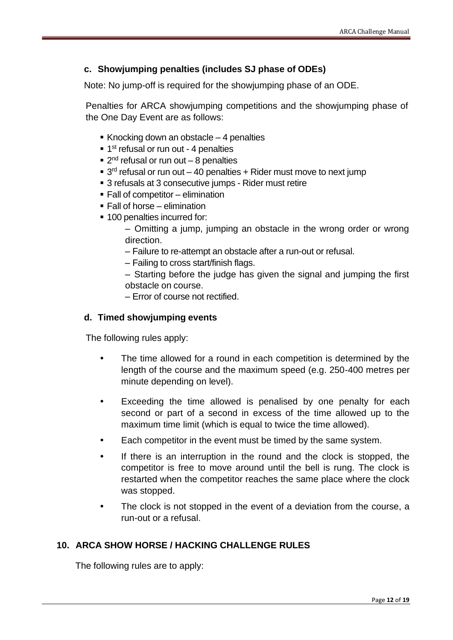## **c. Showjumping penalties (includes SJ phase of ODEs)**

Note: No jump-off is required for the showjumping phase of an ODE.

Penalties for ARCA showjumping competitions and the showjumping phase of the One Day Event are as follows:

- Knocking down an obstacle  $-4$  penalties
- 1<sup>st</sup> refusal or run out 4 penalties
- 2<sup>nd</sup> refusal or run out 8 penalties
- $\blacksquare$  3<sup>rd</sup> refusal or run out  $-$  40 penalties  $+$  Rider must move to next jump
- 3 refusals at 3 consecutive jumps Rider must retire
- $\blacksquare$  Fall of competitor elimination
- $\blacksquare$  Fall of horse elimination
- 100 penalties incurred for:
	- Omitting a jump, jumping an obstacle in the wrong order or wrong direction.
	- Failure to re-attempt an obstacle after a run-out or refusal.
	- Failing to cross start/finish flags.
	- Starting before the judge has given the signal and jumping the first obstacle on course.
	- Error of course not rectified.

#### <span id="page-11-0"></span>**d. Timed showjumping events**

The following rules apply:

- The time allowed for a round in each competition is determined by the length of the course and the maximum speed (e.g. 250-400 metres per minute depending on level).
- Exceeding the time allowed is penalised by one penalty for each second or part of a second in excess of the time allowed up to the maximum time limit (which is equal to twice the time allowed).
- Each competitor in the event must be timed by the same system.
- If there is an interruption in the round and the clock is stopped, the competitor is free to move around until the bell is rung. The clock is restarted when the competitor reaches the same place where the clock was stopped.
- The clock is not stopped in the event of a deviation from the course, a run-out or a refusal.

## **10. ARCA SHOW HORSE / HACKING CHALLENGE RULES**

The following rules are to apply: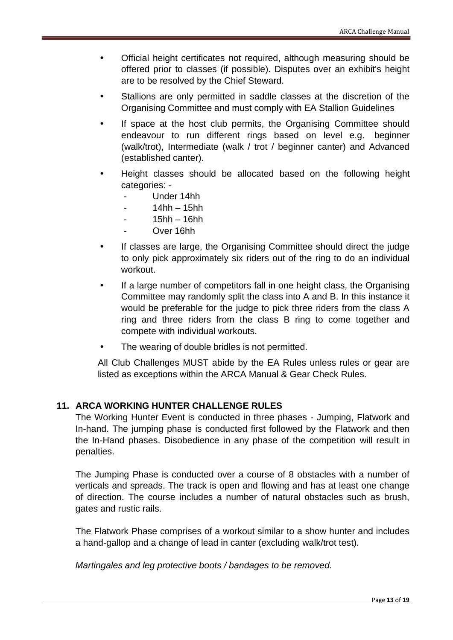- Official height certificates not required, although measuring should be offered prior to classes (if possible). Disputes over an exhibit's height are to be resolved by the Chief Steward.
- Stallions are only permitted in saddle classes at the discretion of the Organising Committee and must comply with EA Stallion Guidelines
- If space at the host club permits, the Organising Committee should endeavour to run different rings based on level e.g. beginner (walk/trot), Intermediate (walk / trot / beginner canter) and Advanced (established canter).
- Height classes should be allocated based on the following height categories: -
	- Under 14hh
	- $14hh 15hh$
	- $15hh 16hh$
	- Over 16hh
- If classes are large, the Organising Committee should direct the judge to only pick approximately six riders out of the ring to do an individual workout.
- If a large number of competitors fall in one height class, the Organising Committee may randomly split the class into A and B. In this instance it would be preferable for the judge to pick three riders from the class A ring and three riders from the class B ring to come together and compete with individual workouts.
- The wearing of double bridles is not permitted.

All Club Challenges MUST abide by the EA Rules unless rules or gear are listed as exceptions within the ARCA Manual & Gear Check Rules.

## **11. ARCA WORKING HUNTER CHALLENGE RULES**

The Working Hunter Event is conducted in three phases - Jumping, Flatwork and In-hand. The jumping phase is conducted first followed by the Flatwork and then the In-Hand phases. Disobedience in any phase of the competition will result in penalties.

The Jumping Phase is conducted over a course of 8 obstacles with a number of verticals and spreads. The track is open and flowing and has at least one change of direction. The course includes a number of natural obstacles such as brush, gates and rustic rails.

The Flatwork Phase comprises of a workout similar to a show hunter and includes a hand-gallop and a change of lead in canter (excluding walk/trot test).

*Martingales and leg protective boots / bandages to be removed.*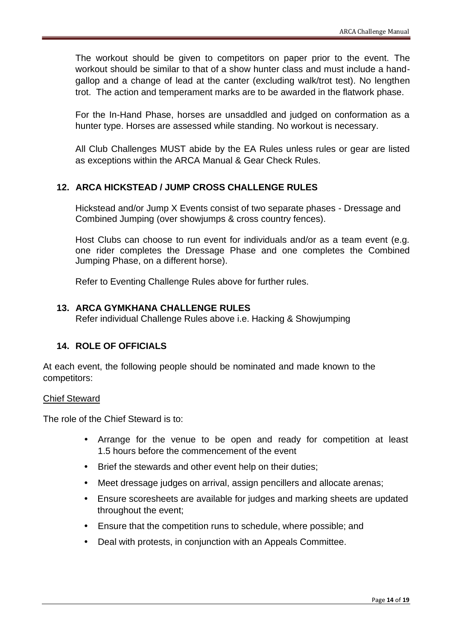The workout should be given to competitors on paper prior to the event. The workout should be similar to that of a show hunter class and must include a handgallop and a change of lead at the canter (excluding walk/trot test). No lengthen trot. The action and temperament marks are to be awarded in the flatwork phase.

For the In-Hand Phase, horses are unsaddled and judged on conformation as a hunter type. Horses are assessed while standing. No workout is necessary.

All Club Challenges MUST abide by the EA Rules unless rules or gear are listed as exceptions within the ARCA Manual & Gear Check Rules.

## **12. ARCA HICKSTEAD / JUMP CROSS CHALLENGE RULES**

Hickstead and/or Jump X Events consist of two separate phases - Dressage and Combined Jumping (over showjumps & cross country fences).

Host Clubs can choose to run event for individuals and/or as a team event (e.g. one rider completes the Dressage Phase and one completes the Combined Jumping Phase, on a different horse).

Refer to Eventing Challenge Rules above for further rules.

### **13. ARCA GYMKHANA CHALLENGE RULES**

Refer individual Challenge Rules above i.e. Hacking & Showjumping

## <span id="page-13-0"></span>**14. ROLE OF OFFICIALS**

At each event, the following people should be nominated and made known to the competitors:

#### Chief Steward

The role of the Chief Steward is to:

- Arrange for the venue to be open and ready for competition at least 1.5 hours before the commencement of the event
- Brief the stewards and other event help on their duties;
- Meet dressage judges on arrival, assign pencillers and allocate arenas;
- Ensure scoresheets are available for judges and marking sheets are updated throughout the event;
- Ensure that the competition runs to schedule, where possible; and
- Deal with protests, in conjunction with an Appeals Committee.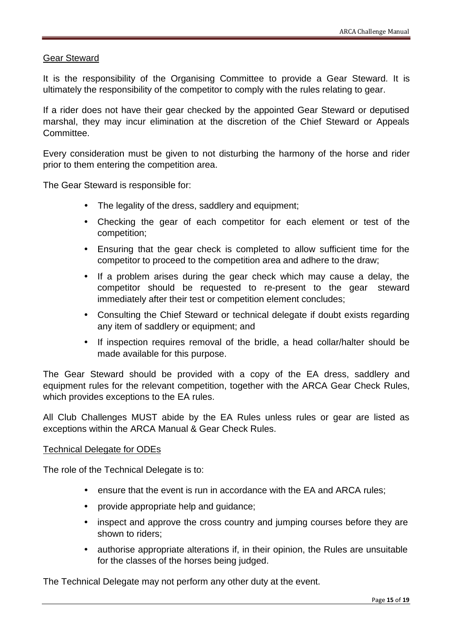#### Gear Steward

It is the responsibility of the Organising Committee to provide a Gear Steward. It is ultimately the responsibility of the competitor to comply with the rules relating to gear.

If a rider does not have their gear checked by the appointed Gear Steward or deputised marshal, they may incur elimination at the discretion of the Chief Steward or Appeals Committee.

Every consideration must be given to not disturbing the harmony of the horse and rider prior to them entering the competition area.

The Gear Steward is responsible for:

- The legality of the dress, saddlery and equipment;
- Checking the gear of each competitor for each element or test of the competition;
- Ensuring that the gear check is completed to allow sufficient time for the competitor to proceed to the competition area and adhere to the draw;
- If a problem arises during the gear check which may cause a delay, the competitor should be requested to re-present to the gear steward immediately after their test or competition element concludes;
- Consulting the Chief Steward or technical delegate if doubt exists regarding any item of saddlery or equipment; and
- If inspection requires removal of the bridle, a head collar/halter should be made available for this purpose.

The Gear Steward should be provided with a copy of the EA dress, saddlery and equipment rules for the relevant competition, together with the ARCA Gear Check Rules, which provides exceptions to the EA rules.

All Club Challenges MUST abide by the EA Rules unless rules or gear are listed as exceptions within the ARCA Manual & Gear Check Rules.

#### Technical Delegate for ODEs

The role of the Technical Delegate is to:

- ensure that the event is run in accordance with the EA and ARCA rules;
- provide appropriate help and guidance;
- inspect and approve the cross country and jumping courses before they are shown to riders;
- authorise appropriate alterations if, in their opinion, the Rules are unsuitable for the classes of the horses being judged.

The Technical Delegate may not perform any other duty at the event.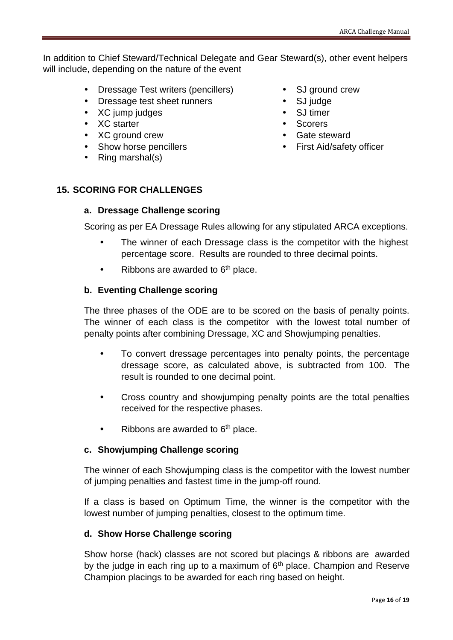In addition to Chief Steward/Technical Delegate and Gear Steward(s), other event helpers will include, depending on the nature of the event

- Dressage Test writers (pencillers)
- Dressage test sheet runners
- XC jump judges
- XC starter
- XC ground crew
- Show horse pencillers
- Ring marshal(s)
- SJ ground crew
- SJ judge
- SJ timer
- Scorers
- Gate steward
- First Aid/safety officer

## <span id="page-15-1"></span><span id="page-15-0"></span>**15. SCORING FOR CHALLENGES**

## **a. Dressage Challenge scoring**

Scoring as per EA Dressage Rules allowing for any stipulated ARCA exceptions.

- The winner of each Dressage class is the competitor with the highest percentage score. Results are rounded to three decimal points.
- Ribbons are awarded to  $6<sup>th</sup>$  place.

## <span id="page-15-2"></span>**b. Eventing Challenge scoring**

The three phases of the ODE are to be scored on the basis of penalty points. The winner of each class is the competitor with the lowest total number of penalty points after combining Dressage, XC and Showjumping penalties.

- To convert dressage percentages into penalty points, the percentage dressage score, as calculated above, is subtracted from 100. The result is rounded to one decimal point.
- Cross country and showjumping penalty points are the total penalties received for the respective phases.
- Ribbons are awarded to  $6<sup>th</sup>$  place.

## <span id="page-15-3"></span>**c. Showjumping Challenge scoring**

The winner of each Showjumping class is the competitor with the lowest number of jumping penalties and fastest time in the jump-off round.

If a class is based on Optimum Time, the winner is the competitor with the lowest number of jumping penalties, closest to the optimum time.

#### <span id="page-15-4"></span>**d. Show Horse Challenge scoring**

Show horse (hack) classes are not scored but placings & ribbons are awarded by the judge in each ring up to a maximum of  $6<sup>th</sup>$  place. Champion and Reserve Champion placings to be awarded for each ring based on height.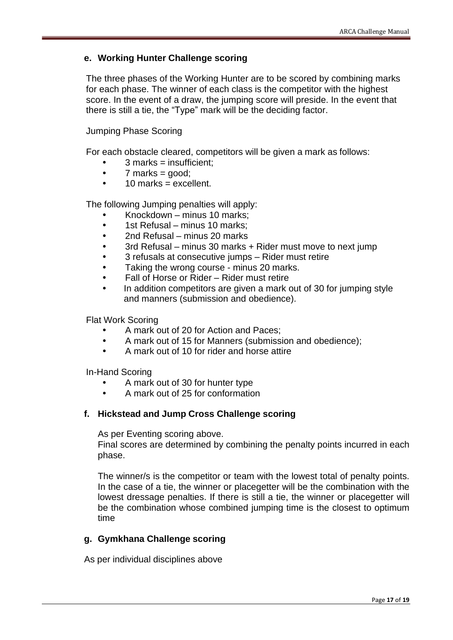## <span id="page-16-0"></span>**e. Working Hunter Challenge scoring**

The three phases of the Working Hunter are to be scored by combining marks for each phase. The winner of each class is the competitor with the highest score. In the event of a draw, the jumping score will preside. In the event that there is still a tie, the "Type" mark will be the deciding factor.

Jumping Phase Scoring

For each obstacle cleared, competitors will be given a mark as follows:

- 3 marks = insufficient;
- $\bullet$  7 marks = good:
- $\cdot$  10 marks = excellent.

The following Jumping penalties will apply:

- Knockdown minus 10 marks;
- 1st Refusal minus 10 marks:
- 2nd Refusal minus 20 marks
- 3rd Refusal minus 30 marks + Rider must move to next jump
- 3 refusals at consecutive jumps Rider must retire
- Taking the wrong course minus 20 marks.
- Fall of Horse or Rider Rider must retire
- In addition competitors are given a mark out of 30 for jumping style and manners (submission and obedience).

Flat Work Scoring

- A mark out of 20 for Action and Paces;
- A mark out of 15 for Manners (submission and obedience);
- A mark out of 10 for rider and horse attire

In-Hand Scoring

- A mark out of 30 for hunter type
- A mark out of 25 for conformation

#### **f. Hickstead and Jump Cross Challenge scoring**

As per Eventing scoring above.

Final scores are determined by combining the penalty points incurred in each phase.

The winner/s is the competitor or team with the lowest total of penalty points. In the case of a tie, the winner or placegetter will be the combination with the lowest dressage penalties. If there is still a tie, the winner or placegetter will be the combination whose combined jumping time is the closest to optimum time

## <span id="page-16-1"></span>**g. Gymkhana Challenge scoring**

As per individual disciplines above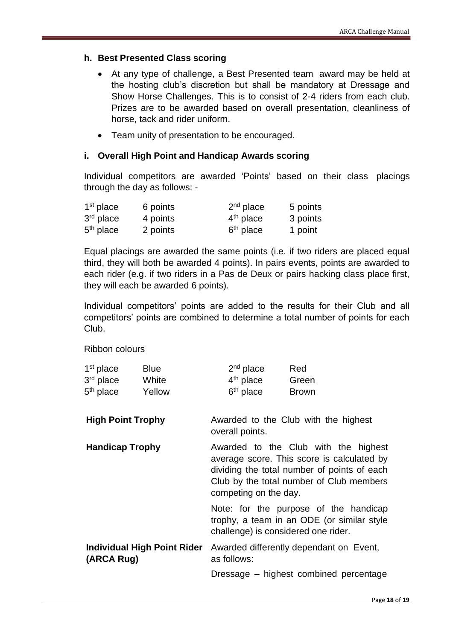#### <span id="page-17-0"></span>**h. Best Presented Class scoring**

- At any type of challenge, a Best Presented team award may be held at the hosting club's discretion but shall be mandatory at Dressage and Show Horse Challenges. This is to consist of 2-4 riders from each club. Prizes are to be awarded based on overall presentation, cleanliness of horse, tack and rider uniform.
- Team unity of presentation to be encouraged.

#### <span id="page-17-1"></span>**i. Overall High Point and Handicap Awards scoring**

Individual competitors are awarded 'Points' based on their class placings through the day as follows: -

| $1st$ place           | 6 points | $2nd$ place           | 5 points |
|-----------------------|----------|-----------------------|----------|
| $3rd$ place           | 4 points | $4th$ place           | 3 points |
| 5 <sup>th</sup> place | 2 points | 6 <sup>th</sup> place | 1 point  |

Equal placings are awarded the same points (i.e. if two riders are placed equal third, they will both be awarded 4 points). In pairs events, points are awarded to each rider (e.g. if two riders in a Pas de Deux or pairs hacking class place first, they will each be awarded 6 points).

Individual competitors' points are added to the results for their Club and all competitors' points are combined to determine a total number of points for each Club.

Ribbon colours

| $1st$ place | <b>Blue</b> | $2nd$ place | Red          |  |
|-------------|-------------|-------------|--------------|--|
| $3rd$ place | White       | $4th$ place | Green        |  |
| $5th$ place | Yellow      | $6th$ place | <b>Brown</b> |  |
| .           |             |             |              |  |

**High Point Trophy** Awarded to the Club with the highest overall points.

**Handicap Trophy Awarded to the Club with the highest** average score. This score is calculated by dividing the total number of points of each Club by the total number of Club members competing on the day.

> Note: for the purpose of the handicap trophy, a team in an ODE (or similar style challenge) is considered one rider.

**Individual High Point Rider (ARCA Rug)** Awarded differently dependant on Event, as follows:

Dressage – highest combined percentage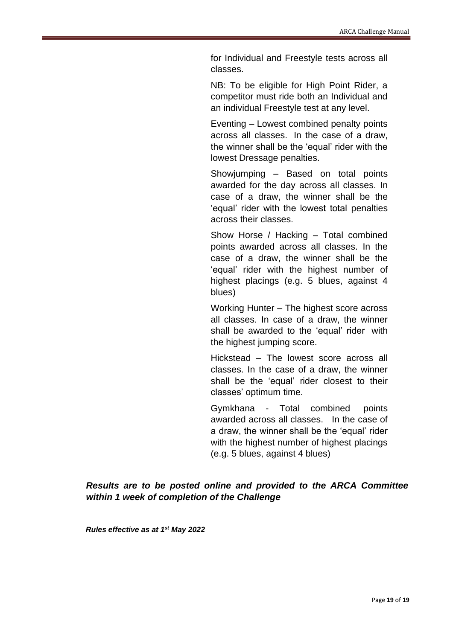for Individual and Freestyle tests across all classes.

NB: To be eligible for High Point Rider, a competitor must ride both an Individual and an individual Freestyle test at any level.

Eventing – Lowest combined penalty points across all classes. In the case of a draw, the winner shall be the 'equal' rider with the lowest Dressage penalties.

Showjumping – Based on total points awarded for the day across all classes. In case of a draw, the winner shall be the 'equal' rider with the lowest total penalties across their classes.

Show Horse / Hacking – Total combined points awarded across all classes. In the case of a draw, the winner shall be the 'equal' rider with the highest number of highest placings (e.g. 5 blues, against 4 blues)

Working Hunter – The highest score across all classes. In case of a draw, the winner shall be awarded to the 'equal' rider with the highest jumping score.

Hickstead – The lowest score across all classes. In the case of a draw, the winner shall be the 'equal' rider closest to their classes' optimum time.

Gymkhana - Total combined points awarded across all classes. In the case of a draw, the winner shall be the 'equal' rider with the highest number of highest placings (e.g. 5 blues, against 4 blues)

*Results are to be posted online and provided to the ARCA Committee within 1 week of completion of the Challenge*

*Rules effective as at 1 st May 2022*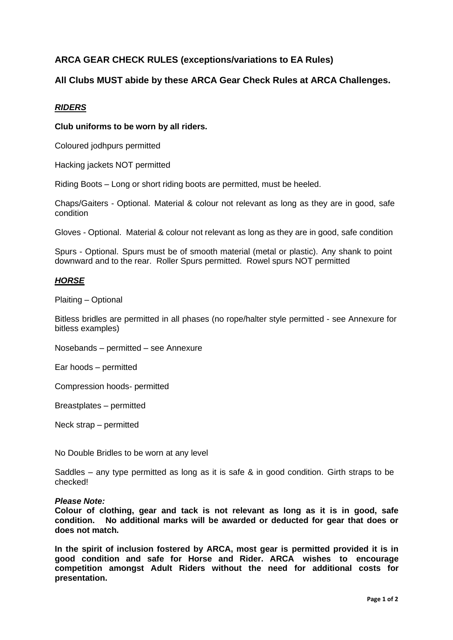## **ARCA GEAR CHECK RULES (exceptions/variations to EA Rules)**

### **All Clubs MUST abide by these ARCA Gear Check Rules at ARCA Challenges.**

#### *RIDERS*

#### **Club uniforms to be worn by all riders.**

Coloured jodhpurs permitted

Hacking jackets NOT permitted

Riding Boots – Long or short riding boots are permitted, must be heeled.

Chaps/Gaiters - Optional. Material & colour not relevant as long as they are in good, safe condition

Gloves - Optional. Material & colour not relevant as long as they are in good, safe condition

Spurs - Optional. Spurs must be of smooth material (metal or plastic). Any shank to point downward and to the rear. Roller Spurs permitted. Rowel spurs NOT permitted

#### *HORSE*

Plaiting – Optional

Bitless bridles are permitted in all phases (no rope/halter style permitted - see Annexure for bitless examples)

Nosebands – permitted – see Annexure

Ear hoods – permitted

Compression hoods- permitted

Breastplates – permitted

Neck strap – permitted

No Double Bridles to be worn at any level

Saddles – any type permitted as long as it is safe & in good condition. Girth straps to be checked!

#### *Please Note:*

**Colour of clothing, gear and tack is not relevant as long as it is in good, safe condition. No additional marks will be awarded or deducted for gear that does or does not match.**

**In the spirit of inclusion fostered by ARCA, most gear is permitted provided it is in good condition and safe for Horse and Rider. ARCA wishes to encourage competition amongst Adult Riders without the need for additional costs for presentation.**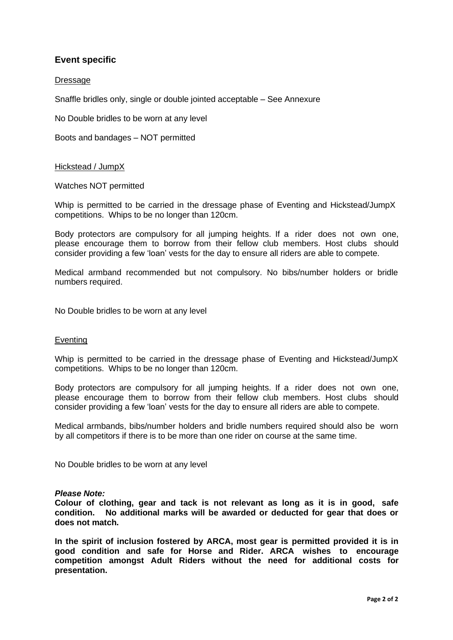## **Event specific**

#### **Dressage**

Snaffle bridles only, single or double jointed acceptable – See Annexure

No Double bridles to be worn at any level

Boots and bandages – NOT permitted

#### Hickstead / JumpX

Watches NOT permitted

Whip is permitted to be carried in the dressage phase of Eventing and Hickstead/JumpX competitions. Whips to be no longer than 120cm.

Body protectors are compulsory for all jumping heights. If a rider does not own one, please encourage them to borrow from their fellow club members. Host clubs should consider providing a few 'loan' vests for the day to ensure all riders are able to compete.

Medical armband recommended but not compulsory. No bibs/number holders or bridle numbers required.

No Double bridles to be worn at any level

#### Eventing

Whip is permitted to be carried in the dressage phase of Eventing and Hickstead/JumpX competitions. Whips to be no longer than 120cm.

Body protectors are compulsory for all jumping heights. If a rider does not own one, please encourage them to borrow from their fellow club members. Host clubs should consider providing a few 'loan' vests for the day to ensure all riders are able to compete.

Medical armbands, bibs/number holders and bridle numbers required should also be worn by all competitors if there is to be more than one rider on course at the same time.

No Double bridles to be worn at any level

#### *Please Note:*

**Colour of clothing, gear and tack is not relevant as long as it is in good, safe condition. No additional marks will be awarded or deducted for gear that does or does not match.**

**In the spirit of inclusion fostered by ARCA, most gear is permitted provided it is in good condition and safe for Horse and Rider. ARCA wishes to encourage competition amongst Adult Riders without the need for additional costs for presentation.**